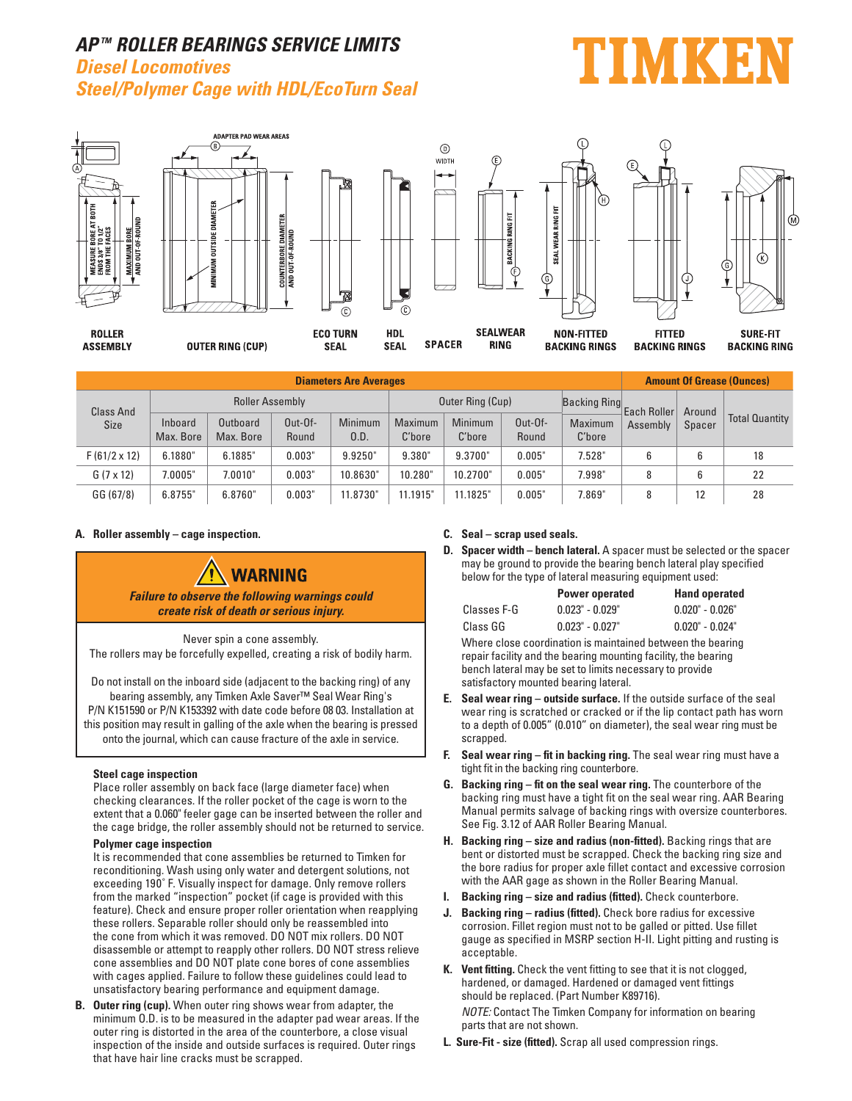## **AP TM ROLLER BEARINGS SERVICE LIMITS Diesel Locomotives Steel/Polymer Cage with HDL/EcoTurn Seal**

# MKE



| <b>Diameters Are Averages</b>   |                        |                       |                    |                 |                   |                          |                    |                     |             | <b>Amount Of Grease (Ounces)</b> |                       |  |  |
|---------------------------------|------------------------|-----------------------|--------------------|-----------------|-------------------|--------------------------|--------------------|---------------------|-------------|----------------------------------|-----------------------|--|--|
| <b>Class And</b><br><b>Size</b> | <b>Roller Assembly</b> |                       |                    |                 |                   | Outer Ring (Cup)         |                    | <b>Backing Ring</b> | Each Roller | Around                           |                       |  |  |
|                                 | Inboard<br>Max. Bore   | Outboard<br>Max. Bore | $Out-Of-$<br>Round | Minimum<br>0.D. | Maximum<br>C'bore | <b>Minimum</b><br>C'bore | $Out-Of-$<br>Round | Maximum<br>C'bore   | Assembly    | Spacer                           | <b>Total Quantity</b> |  |  |
| $F(61/2 \times 12)$             | 6.1880"                | 6.1885"               | 0.003"             | 9.9250"         | 9.380"            | 9.3700"                  | 0.005"             | 7.528"              | 6           |                                  | 18                    |  |  |
| $G(7 \times 12)$                | 7.0005"                | 7.0010"               | 0.003"             | 10.8630"        | 10.280"           | 10.2700"                 | 0.005"             | 7.998"              | 8           |                                  | 22                    |  |  |
| GG (67/8)                       | 6.8755                 | 6.8760"               | 0.003'             | 11.8730"        | 11.1915"          | 11.1825"                 | 0.005"             | 7.869"              | 8           | 12                               | 28                    |  |  |

#### **A. Roller assembly – cage inspection.**



Never spin a cone assembly. The rollers may be forcefully expelled, creating a risk of bodily harm.

Do not install on the inboard side (adjacent to the backing ring) of any bearing assembly, any Timken Axle Saver™ Seal Wear Ring's P/N K151590 or P/N K153392 with date code before 08 03. Installation at this position may result in galling of the axle when the bearing is pressed onto the journal, which can cause fracture of the axle in service.

#### **Steel cage inspection**

 Place roller assembly on back face (large diameter face) when checking clearances. If the roller pocket of the cage is worn to the extent that a 0.060" feeler gage can be inserted between the roller and the cage bridge, the roller assembly should not be returned to service.

#### **Polymer cage inspection**

 It is recommended that cone assemblies be returned to Timken for reconditioning. Wash using only water and detergent solutions, not exceeding 190˚ F. Visually inspect for damage. Only remove rollers from the marked "inspection" pocket (if cage is provided with this feature). Check and ensure proper roller orientation when reapplying these rollers. Separable roller should only be reassembled into the cone from which it was removed. DO NOT mix rollers. DO NOT disassemble or attempt to reapply other rollers. DO NOT stress relieve cone assemblies and DO NOT plate cone bores of cone assemblies with cages applied. Failure to follow these guidelines could lead to unsatisfactory bearing performance and equipment damage.

**B. Outer ring (cup).** When outer ring shows wear from adapter, the minimum O.D. is to be measured in the adapter pad wear areas. If the outer ring is distorted in the area of the counterbore, a close visual inspection of the inside and outside surfaces is required. Outer rings that have hair line cracks must be scrapped.

#### **C. Seal – scrap used seals.**

**D. Spacer width – bench lateral.** A spacer must be selected or the spacer may be ground to provide the bearing bench lateral play specified below for the type of lateral measuring equipment used:

|             | <b>Power operated</b> | <b>Hand operated</b> |  |  |  |  |  |
|-------------|-----------------------|----------------------|--|--|--|--|--|
| Classes F-G | $0.023" - 0.029"$     | $0.020" - 0.026"$    |  |  |  |  |  |
| Class GG    | $0.023" - 0.027"$     | $0.020" - 0.024"$    |  |  |  |  |  |

 Where close coordination is maintained between the bearing repair facility and the bearing mounting facility, the bearing bench lateral may be set to limits necessary to provide satisfactory mounted bearing lateral.

- **E. Seal wear ring outside surface.** If the outside surface of the seal wear ring is scratched or cracked or if the lip contact path has worn to a depth of 0.005" (0.010" on diameter), the seal wear ring must be scranned
- **F. Seal wear ring fit in backing ring.** The seal wear ring must have a tight fit in the backing ring counterbore.
- **G.** Backing ring fit on the seal wear ring. The counterbore of the backing ring must have a tight fit on the seal wear ring. AAR Bearing Manual permits salvage of backing rings with oversize counterbores. See Fig. 3.12 of AAR Roller Bearing Manual.
- **H. Backing ring size and radius (non-fitted).** Backing rings that are bent or distorted must be scrapped. Check the backing ring size and the bore radius for proper axle fillet contact and excessive corrosion with the AAR gage as shown in the Roller Bearing Manual.
- **I. Backing ring size and radius (fitted).** Check counterbore.
- **J.** Backing ring radius (fitted). Check bore radius for excessive corrosion. Fillet region must not to be galled or pitted. Use fillet gauge as specified in MSRP section H-II. Light pitting and rusting is acceptable.
- **K. Vent fitting.** Check the vent fitting to see that it is not clogged, hardened, or damaged. Hardened or damaged vent fittings should be replaced. (Part Number K89716). NOTE: Contact The Timken Company for information on bearing parts that are not shown.
- **L. Sure-Fit size (fitted).** Scrap all used compression rings.